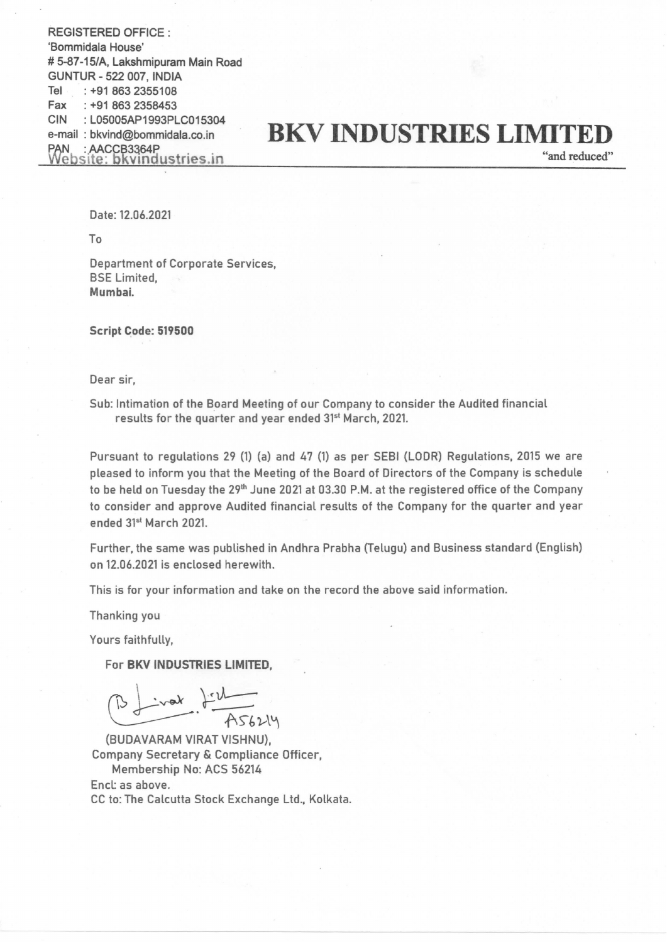REGISTERED OFFICE : 'Bommidala House' # 5-87-15/A, Lakshmipuram Main Road GUNTUR - 522 007, INDIA Tel : +91 863 2355108 Fax :+91 863 2358453 CIN :LO5005AP1993PLC015304 e-mail : bkvind@bommidala.co.in **BKV INDUSTRIES LIMITED**<br>PAN : AACCB3364P<br>Website: bkvindustries.in "and reduced" bsite: bkvindustries.in

Date: 12.06.2021

To

Department of Corporate Services, BSE Limited, Mumbai.

Script Code: 519500

Dear sir,

Sub: Intimation of the Board Meeting of our Company to consider the Audited financial results for the quarter and year ended 31<sup>st</sup> March, 2021.

Pursuant to regulations 29 (1) (a) and 47 (1) as per SEBI (LODR) Regulations, 2015 we are pleased to inform you that the Meeting of the Board of Directors of the Company is schedule to be held on Tuesday the 29<sup>th</sup> June 2021 at 03.30 P.M. at the registered office of the Company to consider and approve Audited financial results of the Company for the quarter and year ended 31<sup>st</sup> March 2021

Further, the same was published in Andhra Prabha (Telugu) and Business standard (English) on 12.06.2021 is enclosed herewith.

This is for your information and take on the record the above said information.

Thanking you

Yours faithfully,

For BKV INDUSTRIES LIMITED,

 $iwak$   $\frac{1+2i}{156244}$ 

(BUDAVARAM VIRAT VISHNU), Company Secretary & Compliance Officer, Membership No: ACS 56214 Encl: as above. CC to: The Calcutta Stock Exchange Lid., Kolkata.